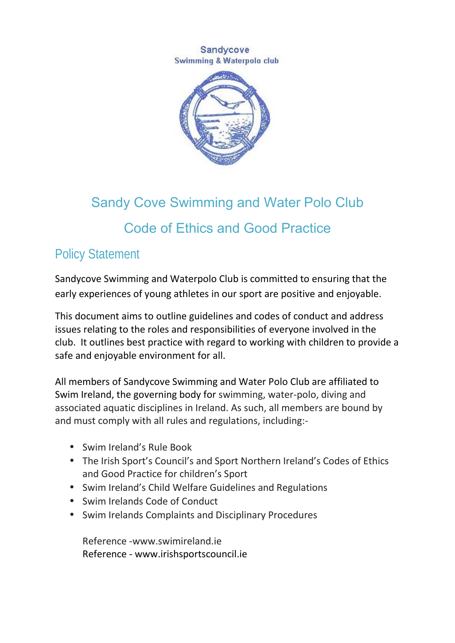#### Sandycove Swimming & Waterpolo club



# Sandy Cove Swimming and Water Polo Club Code of Ethics and Good Practice

## Policy Statement

Sandycove Swimming and Waterpolo Club is committed to ensuring that the early experiences of young athletes in our sport are positive and enjoyable.

This document aims to outline guidelines and codes of conduct and address issues relating to the roles and responsibilities of everyone involved in the club. It outlines best practice with regard to working with children to provide a safe and enjoyable environment for all.

All members of Sandycove Swimming and Water Polo Club are affiliated to Swim Ireland, the governing body for swimming, water-polo, diving and associated aquatic disciplines in Ireland. As such, all members are bound by and must comply with all rules and regulations, including:-

- Swim Ireland's Rule Book
- The Irish Sport's Council's and Sport Northern Ireland's Codes of Ethics and Good Practice for children's Sport
- Swim Ireland's Child Welfare Guidelines and Regulations
- Swim Irelands Code of Conduct
- Swim Irelands Complaints and Disciplinary Procedures

Reference -www.swimireland.ie Reference - www.irishsportscouncil.ie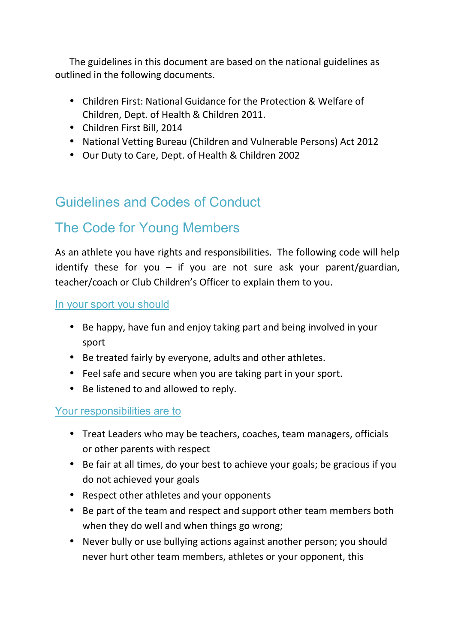The guidelines in this document are based on the national guidelines as outlined in the following documents.

- Children First: National Guidance for the Protection & Welfare of Children, Dept. of Health & Children 2011.
- Children First Bill, 2014
- National Vetting Bureau (Children and Vulnerable Persons) Act 2012
- Our Duty to Care, Dept. of Health & Children 2002

# Guidelines and Codes of Conduct

## The Code for Young Members

As an athlete you have rights and responsibilities. The following code will help identify these for you  $-$  if you are not sure ask your parent/guardian, teacher/coach or Club Children's Officer to explain them to you.

In your sport you should

- Be happy, have fun and enjoy taking part and being involved in your sport
- Be treated fairly by everyone, adults and other athletes.
- Feel safe and secure when you are taking part in your sport.
- Be listened to and allowed to reply.

#### Your responsibilities are to

- Treat Leaders who may be teachers, coaches, team managers, officials or other parents with respect
- Be fair at all times, do your best to achieve your goals; be gracious if you do not achieved your goals
- Respect other athletes and your opponents
- Be part of the team and respect and support other team members both when they do well and when things go wrong;
- Never bully or use bullying actions against another person; you should never hurt other team members, athletes or your opponent, this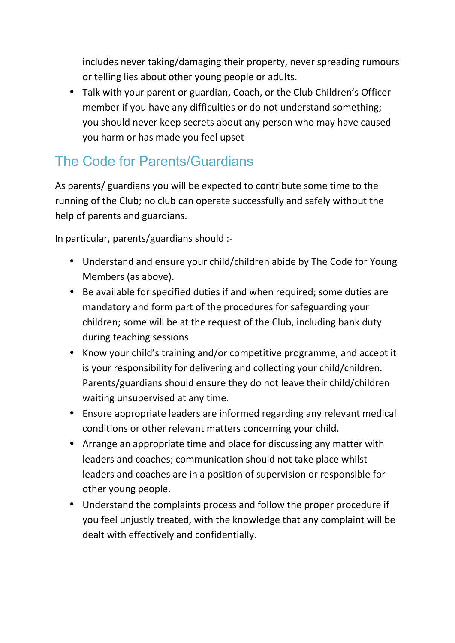includes never taking/damaging their property, never spreading rumours or telling lies about other young people or adults.

 Talk with your parent or guardian, Coach, or the Club Children's Officer member if you have any difficulties or do not understand something; you should never keep secrets about any person who may have caused you harm or has made you feel upset

## The Code for Parents/Guardians

As parents/ guardians you will be expected to contribute some time to the running of the Club; no club can operate successfully and safely without the help of parents and guardians.

In particular, parents/guardians should :-

- Understand and ensure your child/children abide by The Code for Young Members (as above).
- Be available for specified duties if and when required; some duties are mandatory and form part of the procedures for safeguarding your children; some will be at the request of the Club, including bank duty during teaching sessions
- Know your child's training and/or competitive programme, and accept it is your responsibility for delivering and collecting your child/children. Parents/guardians should ensure they do not leave their child/children waiting unsupervised at any time.
- Ensure appropriate leaders are informed regarding any relevant medical conditions or other relevant matters concerning your child.
- Arrange an appropriate time and place for discussing any matter with leaders and coaches; communication should not take place whilst leaders and coaches are in a position of supervision or responsible for other young people.
- Understand the complaints process and follow the proper procedure if you feel unjustly treated, with the knowledge that any complaint will be dealt with effectively and confidentially.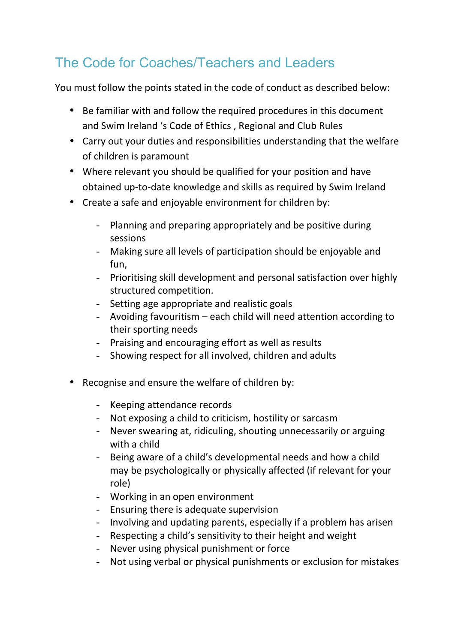# The Code for Coaches/Teachers and Leaders

You must follow the points stated in the code of conduct as described below:

- Be familiar with and follow the required procedures in this document and Swim Ireland 's Code of Ethics , Regional and Club Rules
- Carry out your duties and responsibilities understanding that the welfare of children is paramount
- Where relevant you should be qualified for your position and have obtained up-to-date knowledge and skills as required by Swim Ireland
- Create a safe and enjoyable environment for children by:
	- Planning and preparing appropriately and be positive during sessions
	- Making sure all levels of participation should be enjoyable and fun,
	- Prioritising skill development and personal satisfaction over highly structured competition.
	- Setting age appropriate and realistic goals
	- Avoiding favouritism each child will need attention according to their sporting needs
	- Praising and encouraging effort as well as results
	- Showing respect for all involved, children and adults
- Recognise and ensure the welfare of children by:
	- Keeping attendance records
	- Not exposing a child to criticism, hostility or sarcasm
	- Never swearing at, ridiculing, shouting unnecessarily or arguing with a child
	- Being aware of a child's developmental needs and how a child may be psychologically or physically affected (if relevant for your role)
	- Working in an open environment
	- Ensuring there is adequate supervision
	- Involving and updating parents, especially if a problem has arisen
	- Respecting a child's sensitivity to their height and weight
	- Never using physical punishment or force
	- Not using verbal or physical punishments or exclusion for mistakes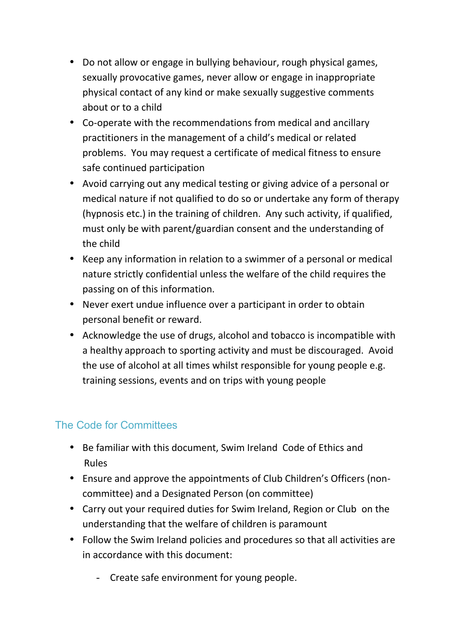- Do not allow or engage in bullying behaviour, rough physical games, sexually provocative games, never allow or engage in inappropriate physical contact of any kind or make sexually suggestive comments about or to a child
- Co-operate with the recommendations from medical and ancillary practitioners in the management of a child's medical or related problems. You may request a certificate of medical fitness to ensure safe continued participation
- Avoid carrying out any medical testing or giving advice of a personal or medical nature if not qualified to do so or undertake any form of therapy (hypnosis etc.) in the training of children. Any such activity, if qualified, must only be with parent/guardian consent and the understanding of the child
- Keep any information in relation to a swimmer of a personal or medical nature strictly confidential unless the welfare of the child requires the passing on of this information.
- Never exert undue influence over a participant in order to obtain personal benefit or reward.
- Acknowledge the use of drugs, alcohol and tobacco is incompatible with a healthy approach to sporting activity and must be discouraged. Avoid the use of alcohol at all times whilst responsible for young people e.g. training sessions, events and on trips with young people

### The Code for Committees

- Be familiar with this document, Swim Ireland Code of Ethics and Rules
- Ensure and approve the appointments of Club Children's Officers (non committee) and a Designated Person (on committee)
- Carry out your required duties for Swim Ireland, Region or Club on the understanding that the welfare of children is paramount
- Follow the Swim Ireland policies and procedures so that all activities are in accordance with this document:
	- Create safe environment for young people.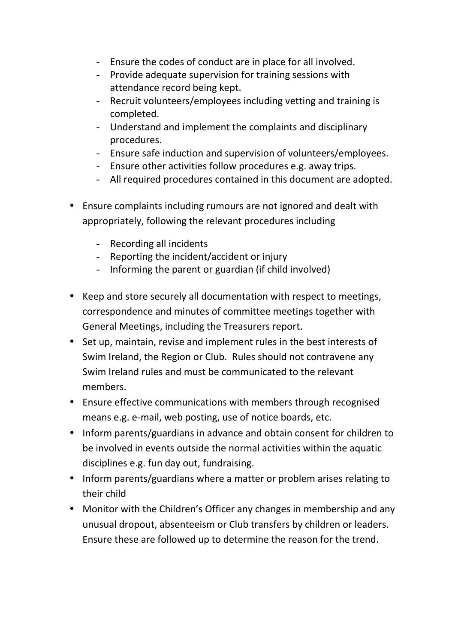- Ensure the codes of conduct are in place for all involved.
- Provide adequate supervision for training sessions with attendance record being kept.
- Recruit volunteers/employees including vetting and training is completed.
- Understand and implement the complaints and disciplinary procedures.
- Ensure safe induction and supervision of volunteers/employees.
- Ensure other activities follow procedures e.g. away trips.
- All required procedures contained in this document are adopted.
- Ensure complaints including rumours are not ignored and dealt with appropriately, following the relevant procedures including
	- Recording all incidents
	- Reporting the incident/accident or injury
	- Informing the parent or guardian (if child involved)
- Keep and store securely all documentation with respect to meetings, correspondence and minutes of committee meetings together with General Meetings, including the Treasurers report.
- Set up, maintain, revise and implement rules in the best interests of Swim Ireland, the Region or Club. Rules should not contravene any Swim Ireland rules and must be communicated to the relevant members.
- Ensure effective communications with members through recognised means e.g. e-mail, web posting, use of notice boards, etc.
- Inform parents/guardians in advance and obtain consent for children to be involved in events outside the normal activities within the aquatic disciplines e.g. fun day out, fundraising.
- Inform parents/guardians where a matter or problem arises relating to their child
- Monitor with the Children's Officer any changes in membership and any unusual dropout, absenteeism or Club transfers by children or leaders. Ensure these are followed up to determine the reason for the trend.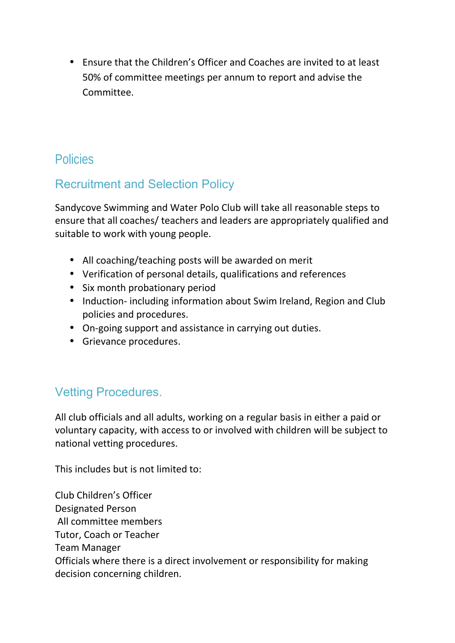Ensure that the Children's Officer and Coaches are invited to at least 50% of committee meetings per annum to report and advise the Committee.

### Policies

## Recruitment and Selection Policy

Sandycove Swimming and Water Polo Club will take all reasonable steps to ensure that all coaches/ teachers and leaders are appropriately qualified and suitable to work with young people.

- All coaching/teaching posts will be awarded on merit
- Verification of personal details, qualifications and references
- Six month probationary period
- Induction- including information about Swim Ireland, Region and Club policies and procedures.
- On-going support and assistance in carrying out duties.
- **•** Grievance procedures.

### Vetting Procedures.

All club officials and all adults, working on a regular basis in either a paid or voluntary capacity, with access to or involved with children will be subject to national vetting procedures.

This includes but is not limited to:

Club Children's Officer Designated Person All committee members Tutor, Coach or Teacher Team Manager Officials where there is a direct involvement or responsibility for making decision concerning children.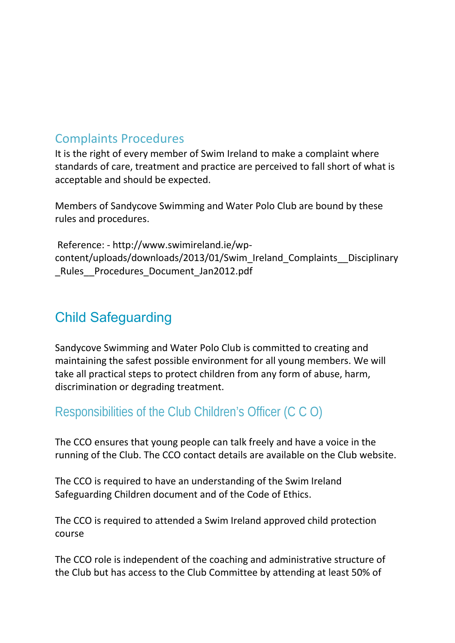#### Complaints Procedures

It is the right of every member of Swim Ireland to make a complaint where standards of care, treatment and practice are perceived to fall short of what is acceptable and should be expected.

Members of Sandycove Swimming and Water Polo Club are bound by these rules and procedures.

Reference: - http://www.swimireland.ie/wp content/uploads/downloads/2013/01/Swim\_Ireland\_Complaints\_\_Disciplinary Rules Procedures Document Jan2012.pdf

## Child Safeguarding

Sandycove Swimming and Water Polo Club is committed to creating and maintaining the safest possible environment for all young members. We will take all practical steps to protect children from any form of abuse, harm, discrimination or degrading treatment.

### Responsibilities of the Club Children's Officer (C C O)

The CCO ensures that young people can talk freely and have a voice in the running of the Club. The CCO contact details are available on the Club website.

The CCO is required to have an understanding of the Swim Ireland Safeguarding Children document and of the Code of Ethics.

The CCO is required to attended a Swim Ireland approved child protection course

The CCO role is independent of the coaching and administrative structure of the Club but has access to the Club Committee by attending at least 50% of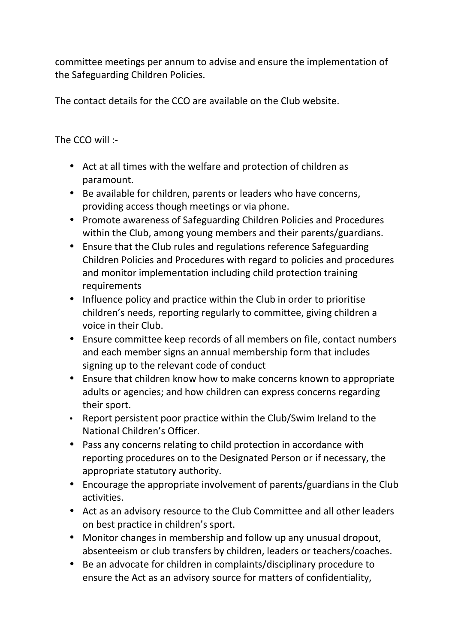committee meetings per annum to advise and ensure the implementation of the Safeguarding Children Policies.

The contact details for the CCO are available on the Club website.

The CCO will :-

- Act at all times with the welfare and protection of children as paramount.
- Be available for children, parents or leaders who have concerns, providing access though meetings or via phone.
- Promote awareness of Safeguarding Children Policies and Procedures within the Club, among young members and their parents/guardians.
- Ensure that the Club rules and regulations reference Safeguarding Children Policies and Procedures with regard to policies and procedures and monitor implementation including child protection training requirements
- Influence policy and practice within the Club in order to prioritise children's needs, reporting regularly to committee, giving children a voice in their Club.
- Ensure committee keep records of all members on file, contact numbers and each member signs an annual membership form that includes signing up to the relevant code of conduct
- Ensure that children know how to make concerns known to appropriate adults or agencies; and how children can express concerns regarding their sport.
- Report persistent poor practice within the Club/Swim Ireland to the National Children's Officer.
- Pass any concerns relating to child protection in accordance with reporting procedures on to the Designated Person or if necessary, the appropriate statutory authority.
- Encourage the appropriate involvement of parents/guardians in the Club activities.
- Act as an advisory resource to the Club Committee and all other leaders on best practice in children's sport.
- Monitor changes in membership and follow up any unusual dropout, absenteeism or club transfers by children, leaders or teachers/coaches.
- Be an advocate for children in complaints/disciplinary procedure to ensure the Act as an advisory source for matters of confidentiality,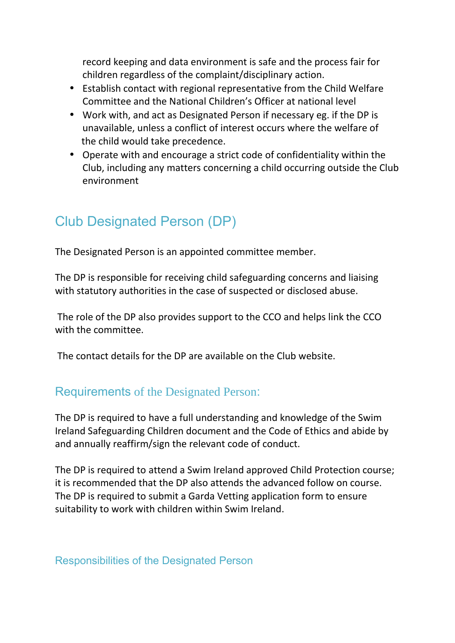record keeping and data environment is safe and the process fair for children regardless of the complaint/disciplinary action.

- Establish contact with regional representative from the Child Welfare Committee and the National Children's Officer at national level
- Work with, and act as Designated Person if necessary eg. if the DP is unavailable, unless a conflict of interest occurs where the welfare of the child would take precedence.
- Operate with and encourage a strict code of confidentiality within the Club, including any matters concerning a child occurring outside the Club environment

## Club Designated Person (DP)

The Designated Person is an appointed committee member.

The DP is responsible for receiving child safeguarding concerns and liaising with statutory authorities in the case of suspected or disclosed abuse.

The role of the DP also provides support to the CCO and helps link the CCO with the committee.

The contact details for the DP are available on the Club website.

#### Requirements of the Designated Person:

The DP is required to have a full understanding and knowledge of the Swim Ireland Safeguarding Children document and the Code of Ethics and abide by and annually reaffirm/sign the relevant code of conduct.

The DP is required to attend a Swim Ireland approved Child Protection course; it is recommended that the DP also attends the advanced follow on course. The DP is required to submit a Garda Vetting application form to ensure suitability to work with children within Swim Ireland.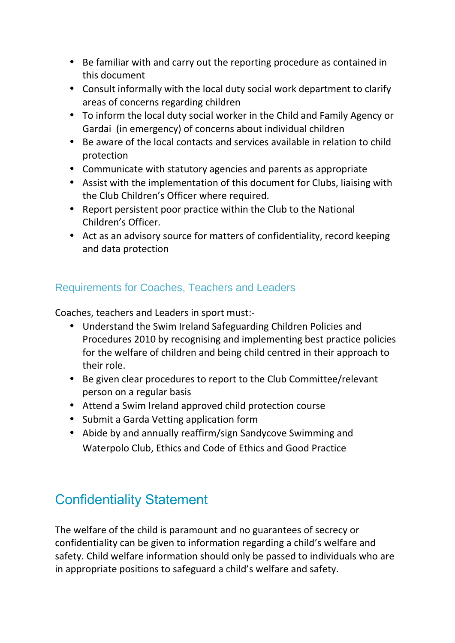- Be familiar with and carry out the reporting procedure as contained in this document
- Consult informally with the local duty social work department to clarify areas of concerns regarding children
- To inform the local duty social worker in the Child and Family Agency or Gardai (in emergency) of concerns about individual children
- Be aware of the local contacts and services available in relation to child protection
- Communicate with statutory agencies and parents as appropriate
- Assist with the implementation of this document for Clubs, liaising with the Club Children's Officer where required.
- Report persistent poor practice within the Club to the National Children's Officer.
- Act as an advisory source for matters of confidentiality, record keeping and data protection

#### Requirements for Coaches, Teachers and Leaders

Coaches, teachers and Leaders in sport must:-

- Understand the Swim Ireland Safeguarding Children Policies and Procedures 2010 by recognising and implementing best practice policies for the welfare of children and being child centred in their approach to their role.
- Be given clear procedures to report to the Club Committee/relevant person on a regular basis
- Attend a Swim Ireland approved child protection course
- Submit a Garda Vetting application form
- Abide by and annually reaffirm/sign Sandycove Swimming and Waterpolo Club, Ethics and Code of Ethics and Good Practice

# Confidentiality Statement

The welfare of the child is paramount and no guarantees of secrecy or confidentiality can be given to information regarding a child's welfare and safety. Child welfare information should only be passed to individuals who are in appropriate positions to safeguard a child's welfare and safety.